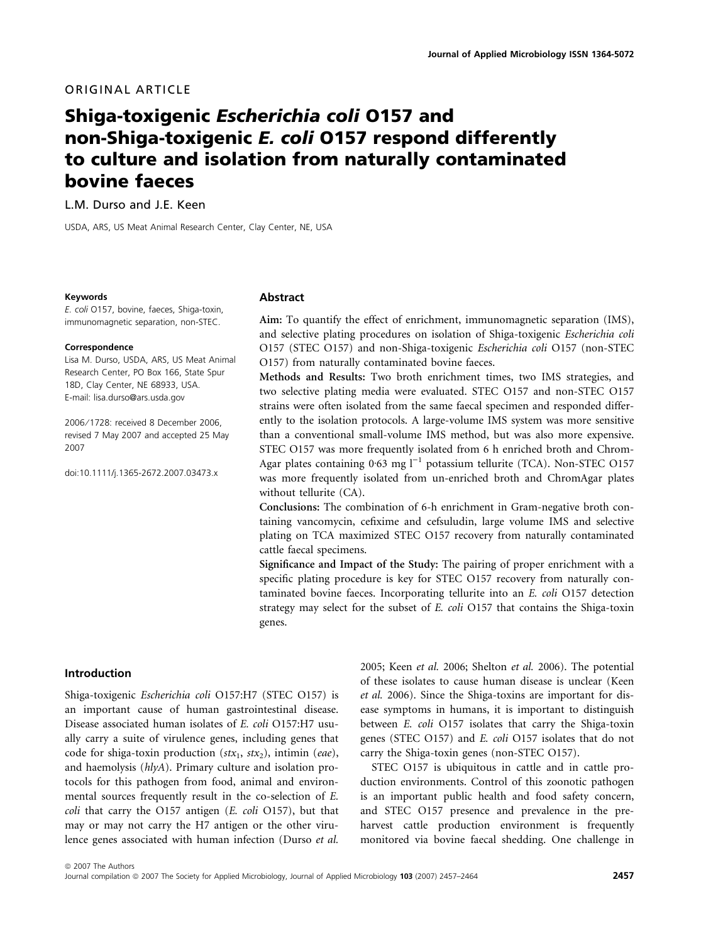## ORIGINAL ARTICLE

# Shiga-toxigenic Escherichia coli O157 and non-Shiga-toxigenic E. coli O157 respond differently to culture and isolation from naturally contaminated bovine faeces

L.M. Durso and J.E. Keen

USDA, ARS, US Meat Animal Research Center, Clay Center, NE, USA

#### Keywords

E. coli O157, bovine, faeces, Shiga-toxin, immunomagnetic separation, non-STEC.

#### **Correspondence**

Lisa M. Durso, USDA, ARS, US Meat Animal Research Center, PO Box 166, State Spur 18D, Clay Center, NE 68933, USA. E-mail: lisa.durso@ars.usda.gov

2006 ⁄ 1728: received 8 December 2006, revised 7 May 2007 and accepted 25 May 2007

doi:10.1111/j.1365-2672.2007.03473.x

#### Abstract

Aim: To quantify the effect of enrichment, immunomagnetic separation (IMS), and selective plating procedures on isolation of Shiga-toxigenic Escherichia coli O157 (STEC O157) and non-Shiga-toxigenic Escherichia coli O157 (non-STEC O157) from naturally contaminated bovine faeces.

Methods and Results: Two broth enrichment times, two IMS strategies, and two selective plating media were evaluated. STEC O157 and non-STEC O157 strains were often isolated from the same faecal specimen and responded differently to the isolation protocols. A large-volume IMS system was more sensitive than a conventional small-volume IMS method, but was also more expensive. STEC O157 was more frequently isolated from 6 h enriched broth and Chrom-Agar plates containing  $0.63$  mg  $l^{-1}$  potassium tellurite (TCA). Non-STEC O157 was more frequently isolated from un-enriched broth and ChromAgar plates without tellurite (CA).

Conclusions: The combination of 6-h enrichment in Gram-negative broth containing vancomycin, cefixime and cefsuludin, large volume IMS and selective plating on TCA maximized STEC O157 recovery from naturally contaminated cattle faecal specimens.

Significance and Impact of the Study: The pairing of proper enrichment with a specific plating procedure is key for STEC O157 recovery from naturally contaminated bovine faeces. Incorporating tellurite into an E. coli O157 detection strategy may select for the subset of E. coli O157 that contains the Shiga-toxin genes.

## Introduction

Shiga-toxigenic Escherichia coli O157:H7 (STEC O157) is an important cause of human gastrointestinal disease. Disease associated human isolates of E. coli O157:H7 usually carry a suite of virulence genes, including genes that code for shiga-toxin production ( $\text{stx}_1$ ,  $\text{stx}_2$ ), intimin (eae), and haemolysis (hlyA). Primary culture and isolation protocols for this pathogen from food, animal and environmental sources frequently result in the co-selection of E. coli that carry the O157 antigen (E. coli O157), but that may or may not carry the H7 antigen or the other virulence genes associated with human infection (Durso et al.

2005; Keen et al. 2006; Shelton et al. 2006). The potential of these isolates to cause human disease is unclear (Keen et al. 2006). Since the Shiga-toxins are important for disease symptoms in humans, it is important to distinguish between E. coli O157 isolates that carry the Shiga-toxin genes (STEC O157) and E. coli O157 isolates that do not carry the Shiga-toxin genes (non-STEC O157).

STEC O157 is ubiquitous in cattle and in cattle production environments. Control of this zoonotic pathogen is an important public health and food safety concern, and STEC O157 presence and prevalence in the preharvest cattle production environment is frequently monitored via bovine faecal shedding. One challenge in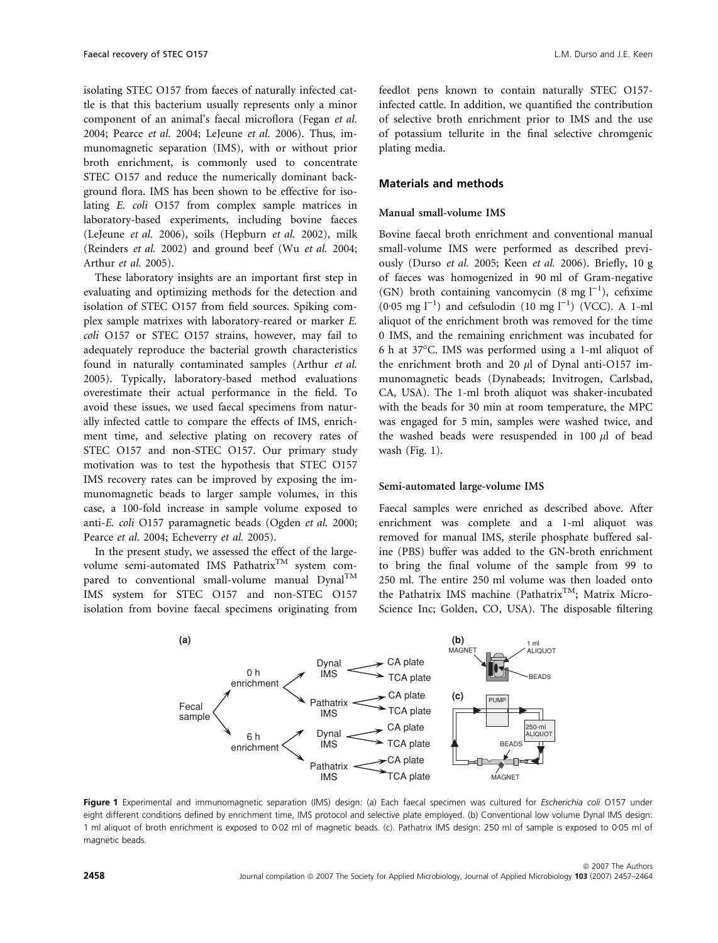isolating STEC O157 from faeces of naturally infected cattle is that this bacterium usually represents only a minor component of an animal's faecal microflora (Fegan et al. 2004; Pearce et al. 2004; LeJeune et al. 2006). Thus, immunomagnetic separation (IMS), with or without prior broth enrichment, is commonly used to concentrate STEC O157 and reduce the numerically dominant background flora. IMS has been shown to be effective for isolating E. coli O157 from complex sample matrices in laboratory-based experiments, including bovine faeces (LeJeune et al. 2006), soils (Hepburn et al. 2002), milk (Reinders et al. 2002) and ground beef (Wu et al. 2004; Arthur et al. 2005).

These laboratory insights are an important first step in evaluating and optimizing methods for the detection and isolation of STEC O157 from field sources. Spiking complex sample matrixes with laboratory-reared or marker E. coli O157 or STEC O157 strains, however, may fail to adequately reproduce the bacterial growth characteristics found in naturally contaminated samples (Arthur et al. 2005). Typically, laboratory-based method evaluations overestimate their actual performance in the field. To avoid these issues, we used faecal specimens from naturally infected cattle to compare the effects of IMS, enrichment time, and selective plating on recovery rates of STEC O157 and non-STEC O157. Our primary study motivation was to test the hypothesis that STEC O157 IMS recovery rates can be improved by exposing the immunomagnetic beads to larger sample volumes, in this case, a 100-fold increase in sample volume exposed to anti-E. coli O157 paramagnetic beads (Ogden et al. 2000; Pearce et al. 2004; Echeverry et al. 2005).

In the present study, we assessed the effect of the largevolume semi-automated IMS Pathatrix<sup>TM</sup> system compared to conventional small-volume manual  $DynaI^{TM}$ IMS system for STEC O157 and non-STEC O157 isolation from bovine faecal specimens originating from

feedlot pens known to contain naturally STEC O157 infected cattle. In addition, we quantified the contribution of selective broth enrichment prior to IMS and the use of potassium tellurite in the final selective chromgenic plating media.

## Materials and methods

#### Manual small-volume IMS

Bovine faecal broth enrichment and conventional manual small-volume IMS were performed as described previously (Durso et al. 2005; Keen et al. 2006). Briefly, 10 g of faeces was homogenized in 90 ml of Gram-negative (GN) broth containing vancomycin (8 mg  $l^{-1}$ ), cefixime  $(0.05 \text{ mg } l^{-1})$  and cefsulodin  $(10 \text{ mg } l^{-1})$  (VCC). A 1-ml aliquot of the enrichment broth was removed for the time 0 IMS, and the remaining enrichment was incubated for 6 h at 37-C. IMS was performed using a 1-ml aliquot of the enrichment broth and 20  $\mu$ l of Dynal anti-O157 immunomagnetic beads (Dynabeads; Invitrogen, Carlsbad, CA, USA). The 1-ml broth aliquot was shaker-incubated with the beads for 30 min at room temperature, the MPC was engaged for 5 min, samples were washed twice, and the washed beads were resuspended in 100  $\mu$ l of bead wash (Fig. 1).

#### Semi-automated large-volume IMS

Faecal samples were enriched as described above. After enrichment was complete and a 1-ml aliquot was removed for manual IMS, sterile phosphate buffered saline (PBS) buffer was added to the GN-broth enrichment to bring the final volume of the sample from 99 to 250 ml. The entire 250 ml volume was then loaded onto the Pathatrix IMS machine (Pathatrix<sup>TM</sup>; Matrix Micro-Science Inc; Golden, CO, USA). The disposable filtering



Figure 1 Experimental and immunomagnetic separation (IMS) design: (a) Each faecal specimen was cultured for Escherichia coli O157 under eight different conditions defined by enrichment time, IMS protocol and selective plate employed. (b) Conventional low volume Dynal IMS design: 1 ml aliquot of broth enrichment is exposed to 0·02 ml of magnetic beads. (c). Pathatrix IMS design: 250 ml of sample is exposed to 0·05 ml of magnetic beads.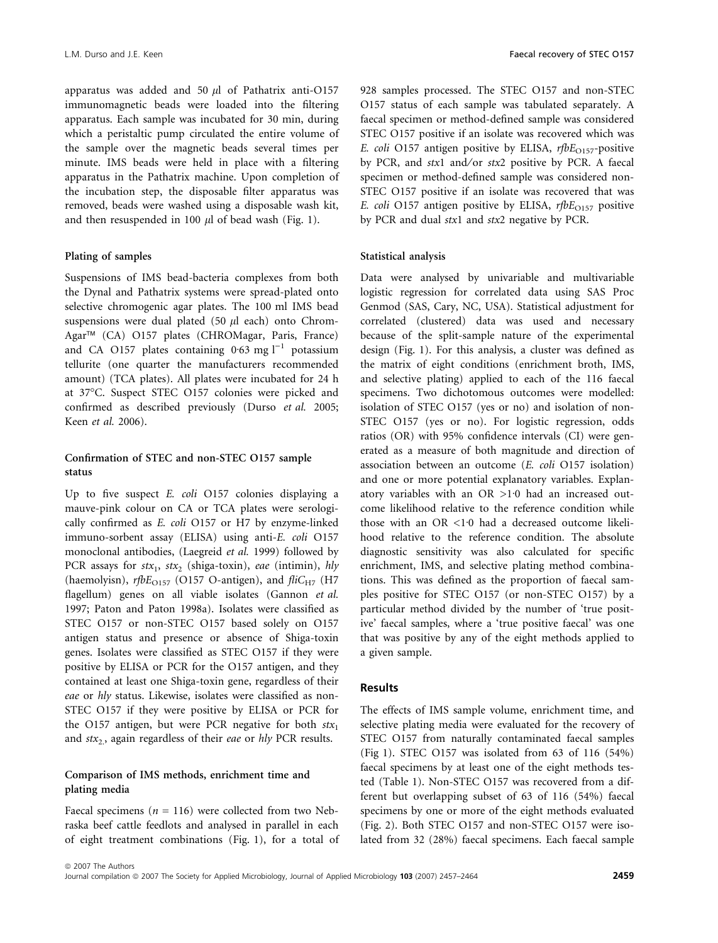apparatus was added and 50  $\mu$ l of Pathatrix anti-O157 immunomagnetic beads were loaded into the filtering apparatus. Each sample was incubated for 30 min, during which a peristaltic pump circulated the entire volume of the sample over the magnetic beads several times per minute. IMS beads were held in place with a filtering apparatus in the Pathatrix machine. Upon completion of the incubation step, the disposable filter apparatus was removed, beads were washed using a disposable wash kit, and then resuspended in 100  $\mu$ l of bead wash (Fig. 1).

#### Plating of samples

Suspensions of IMS bead-bacteria complexes from both the Dynal and Pathatrix systems were spread-plated onto selective chromogenic agar plates. The 100 ml IMS bead suspensions were dual plated (50  $\mu$ l each) onto Chrom-Agar<sup>™</sup> (CA) O157 plates (CHROMagar, Paris, France) and CA O157 plates containing 0.63 mg  $l^{-1}$  potassium tellurite (one quarter the manufacturers recommended amount) (TCA plates). All plates were incubated for 24 h at 37°C. Suspect STEC O157 colonies were picked and confirmed as described previously (Durso et al. 2005; Keen et al. 2006).

## Confirmation of STEC and non-STEC O157 sample status

Up to five suspect E. coli O157 colonies displaying a mauve-pink colour on CA or TCA plates were serologically confirmed as E. coli O157 or H7 by enzyme-linked immuno-sorbent assay (ELISA) using anti-E. coli O157 monoclonal antibodies, (Laegreid et al. 1999) followed by PCR assays for  $stx_1$ ,  $stx_2$  (shiga-toxin), eae (intimin), hly (haemolyisn),  $rfbE_{O157}$  (O157 O-antigen), and  $fliC_{H7}$  (H7 flagellum) genes on all viable isolates (Gannon et al. 1997; Paton and Paton 1998a). Isolates were classified as STEC O157 or non-STEC O157 based solely on O157 antigen status and presence or absence of Shiga-toxin genes. Isolates were classified as STEC O157 if they were positive by ELISA or PCR for the O157 antigen, and they contained at least one Shiga-toxin gene, regardless of their eae or hly status. Likewise, isolates were classified as non-STEC O157 if they were positive by ELISA or PCR for the O157 antigen, but were PCR negative for both  $stx_1$ and  $stx<sub>2</sub>$ , again regardless of their *eae* or *hly* PCR results.

## Comparison of IMS methods, enrichment time and plating media

Faecal specimens ( $n = 116$ ) were collected from two Nebraska beef cattle feedlots and analysed in parallel in each of eight treatment combinations (Fig. 1), for a total of 928 samples processed. The STEC O157 and non-STEC O157 status of each sample was tabulated separately. A faecal specimen or method-defined sample was considered STEC O157 positive if an isolate was recovered which was E. coli O157 antigen positive by ELISA,  $rfbE_{O157}$ -positive by PCR, and stx1 and/or stx2 positive by PCR. A faecal specimen or method-defined sample was considered non-STEC O157 positive if an isolate was recovered that was E. coli O157 antigen positive by ELISA,  $rfbE_{O157}$  positive by PCR and dual stx1 and stx2 negative by PCR.

#### Statistical analysis

Data were analysed by univariable and multivariable logistic regression for correlated data using SAS Proc Genmod (SAS, Cary, NC, USA). Statistical adjustment for correlated (clustered) data was used and necessary because of the split-sample nature of the experimental design (Fig. 1). For this analysis, a cluster was defined as the matrix of eight conditions (enrichment broth, IMS, and selective plating) applied to each of the 116 faecal specimens. Two dichotomous outcomes were modelled: isolation of STEC O157 (yes or no) and isolation of non-STEC O157 (yes or no). For logistic regression, odds ratios (OR) with 95% confidence intervals (CI) were generated as a measure of both magnitude and direction of association between an outcome (E. coli O157 isolation) and one or more potential explanatory variables. Explanatory variables with an OR  $>1.0$  had an increased outcome likelihood relative to the reference condition while those with an OR  $\leq$ 1.0 had a decreased outcome likelihood relative to the reference condition. The absolute diagnostic sensitivity was also calculated for specific enrichment, IMS, and selective plating method combinations. This was defined as the proportion of faecal samples positive for STEC O157 (or non-STEC O157) by a particular method divided by the number of 'true positive' faecal samples, where a 'true positive faecal' was one that was positive by any of the eight methods applied to a given sample.

### Results

The effects of IMS sample volume, enrichment time, and selective plating media were evaluated for the recovery of STEC O157 from naturally contaminated faecal samples (Fig 1). STEC O157 was isolated from 63 of 116 (54%) faecal specimens by at least one of the eight methods tested (Table 1). Non-STEC O157 was recovered from a different but overlapping subset of 63 of 116 (54%) faecal specimens by one or more of the eight methods evaluated (Fig. 2). Both STEC O157 and non-STEC O157 were isolated from 32 (28%) faecal specimens. Each faecal sample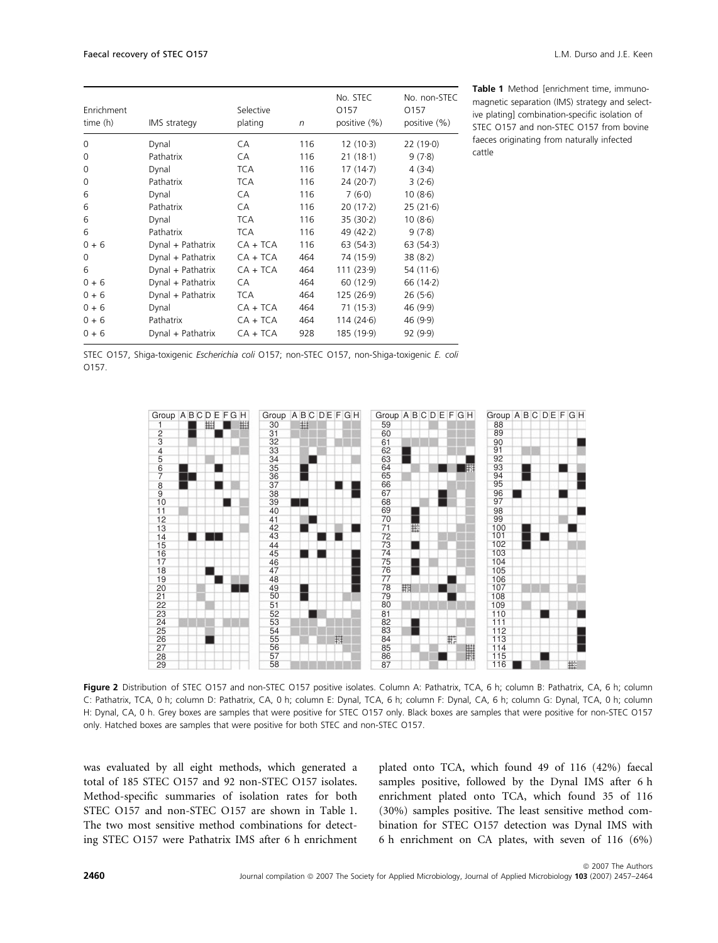| Enrichment<br>time (h) | IMS strategy      | Selective<br>plating | $\sqrt{n}$ | No. STEC<br>0157<br>positive (%) | No. non-STEC<br>0157<br>positive (%) |
|------------------------|-------------------|----------------------|------------|----------------------------------|--------------------------------------|
| 0                      | Dynal             | CA                   | 116        | $12(10-3)$                       | 22(190)                              |
| 0                      | Pathatrix         | CA                   | 116        | 21(18.1)                         | 9(7.8)                               |
| 0                      | Dynal             | <b>TCA</b>           | 116        | 17(14.7)                         | 4(3.4)                               |
| 0                      | Pathatrix         | <b>TCA</b>           | 116        | 24 (20.7)                        | 3(2.6)                               |
| 6                      | Dynal             | CA                   | 116        | 7(6.0)                           | 10(8.6)                              |
| 6                      | Pathatrix         | CA                   | 116        | $20(17-2)$                       | 25(21.6)                             |
| 6                      | Dynal             | <b>TCA</b>           | 116        | 35(30.2)                         | 10(8.6)                              |
| 6                      | Pathatrix         | <b>TCA</b>           | 116        | 49 $(42.2)$                      | 9(7.8)                               |
| $0 + 6$                | Dynal + Pathatrix | $CA + TCA$           | 116        | 63(54.3)                         | 63(54.3)                             |
| 0                      | Dynal + Pathatrix | $CA + TCA$           | 464        | 74 (15.9)                        | 38(8.2)                              |
| 6                      | Dynal + Pathatrix | $CA + TCA$           | 464        | 111 (23.9)                       | 54 $(11.6)$                          |
| $0 + 6$                | Dynal + Pathatrix | СA                   | 464        | 60(12.9)                         | 66 (14-2)                            |
| $0 + 6$                | Dynal + Pathatrix | <b>TCA</b>           | 464        | 125 (26-9)                       | 26(5.6)                              |
| $0 + 6$                | Dynal             | $CA + TCA$           | 464        | 71(15.3)                         | 46(9.9)                              |
| $0 + 6$                | Pathatrix         | $CA + TCA$           | 464        | 114 (24.6)                       | 46(9.9)                              |
| $0 + 6$                | Dynal + Pathatrix | $CA + TCA$           | 928        | 185 (19-9)                       | 92(9.9)                              |

Table 1 Method [enrichment time, immunomagnetic separation (IMS) strategy and selective plating] combination-specific isolation of STEC O157 and non-STEC O157 from bovine faeces originating from naturally infected cattle

|       |  |  | STEC 0157, Shiga-toxigenic Escherichia coli 0157; non-STEC 0157, non-Shiga-toxigenic E. coli |  |
|-------|--|--|----------------------------------------------------------------------------------------------|--|
| 0157. |  |  |                                                                                              |  |



Figure 2 Distribution of STEC 0157 and non-STEC 0157 positive isolates. Column A: Pathatrix, TCA, 6 h; column B: Pathatrix, CA, 6 h; column C: Pathatrix, TCA, 0 h; column D: Pathatrix, CA, 0 h; column E: Dynal, TCA, 6 h; column F: Dynal, CA, 6 h; column G: Dynal, TCA, 0 h; column H: Dynal, CA, 0 h. Grey boxes are samples that were positive for STEC O157 only. Black boxes are samples that were positive for non-STEC O157 only. Hatched boxes are samples that were positive for both STEC and non-STEC O157.

was evaluated by all eight methods, which generated a total of 185 STEC O157 and 92 non-STEC O157 isolates. Method-specific summaries of isolation rates for both STEC O157 and non-STEC O157 are shown in Table 1. The two most sensitive method combinations for detecting STEC O157 were Pathatrix IMS after 6 h enrichment plated onto TCA, which found 49 of 116 (42%) faecal samples positive, followed by the Dynal IMS after 6 h enrichment plated onto TCA, which found 35 of 116 (30%) samples positive. The least sensitive method combination for STEC O157 detection was Dynal IMS with 6 h enrichment on CA plates, with seven of 116 (6%)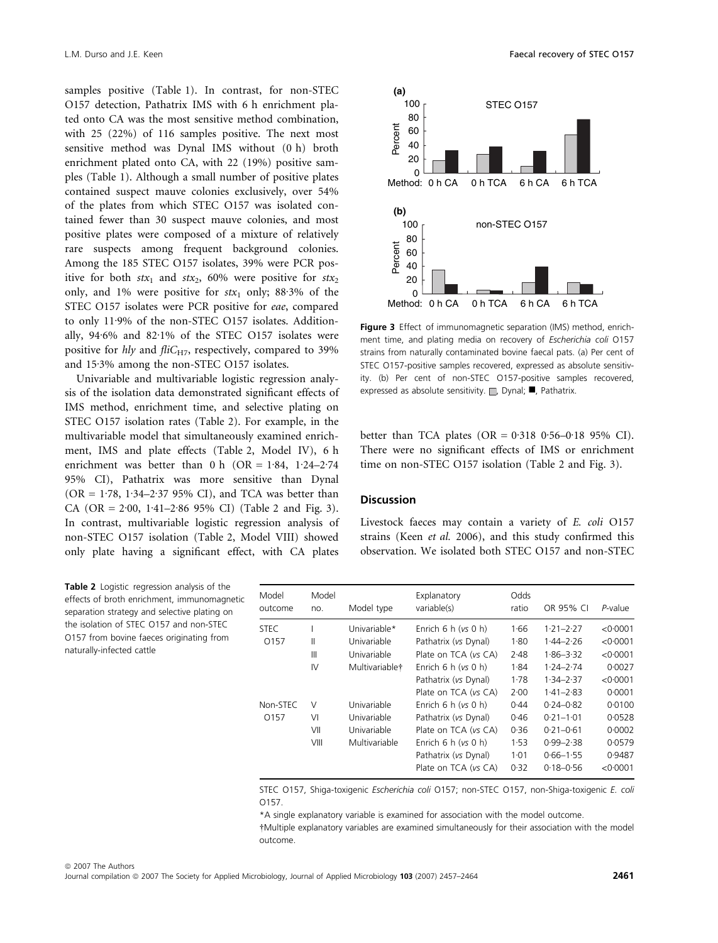samples positive (Table 1). In contrast, for non-STEC O157 detection, Pathatrix IMS with 6 h enrichment plated onto CA was the most sensitive method combination, with 25 (22%) of 116 samples positive. The next most sensitive method was Dynal IMS without (0 h) broth enrichment plated onto CA, with 22 (19%) positive samples (Table 1). Although a small number of positive plates contained suspect mauve colonies exclusively, over 54% of the plates from which STEC O157 was isolated contained fewer than 30 suspect mauve colonies, and most positive plates were composed of a mixture of relatively rare suspects among frequent background colonies. Among the 185 STEC O157 isolates, 39% were PCR positive for both  $stx_1$  and  $stx_2$ , 60% were positive for  $stx_2$ only, and 1% were positive for  $stx_1$  only; 88.3% of the STEC O157 isolates were PCR positive for eae, compared to only 11.9% of the non-STEC O157 isolates. Additionally,  $94.6\%$  and  $82.1\%$  of the STEC O157 isolates were positive for hly and fliC<sub>H7</sub>, respectively, compared to 39% and  $15.3\%$  among the non-STEC O157 isolates.

Univariable and multivariable logistic regression analysis of the isolation data demonstrated significant effects of IMS method, enrichment time, and selective plating on STEC O157 isolation rates (Table 2). For example, in the multivariable model that simultaneously examined enrichment, IMS and plate effects (Table 2, Model IV), 6 h enrichment was better than 0 h (OR =  $1.84$ ,  $1.24 - 2.74$ 95% CI), Pathatrix was more sensitive than Dynal  $(OR = 1.78, 1.34 - 2.37, 95\% \text{ CI})$ , and TCA was better than CA (OR =  $2.00$ ,  $1.41-2.86$  95% CI) (Table 2 and Fig. 3). In contrast, multivariable logistic regression analysis of non-STEC O157 isolation (Table 2, Model VIII) showed only plate having a significant effect, with CA plates

Table 2 Logistic regression analysis of the effects of broth enrichment, immunomagnetic separation strategy and selective plating on the isolation of STEC O157 and non-STEC O157 from bovine faeces originating from naturally-infected cattle



Figure 3 Effect of immunomagnetic separation (IMS) method, enrichment time, and plating media on recovery of Escherichia coli O157 strains from naturally contaminated bovine faecal pats. (a) Per cent of STEC O157-positive samples recovered, expressed as absolute sensitivity. (b) Per cent of non-STEC O157-positive samples recovered, expressed as absolute sensitivity.  $\Box$ , Dynal;  $\Box$ , Pathatrix.

better than TCA plates (OR =  $0.318$  0.56-0.18 95% CI). There were no significant effects of IMS or enrichment time on non-STEC O157 isolation (Table 2 and Fig. 3).

### **Discussion**

Livestock faeces may contain a variety of E. coli O157 strains (Keen et al. 2006), and this study confirmed this observation. We isolated both STEC O157 and non-STEC

| Model<br>outcome | Model<br>no.           | Model type                                                   | Explanatory<br>variable(s)                                                                                                                                             | Odds<br>ratio                                        | OR 95% CI                                                                                                           | P-value                                                              |
|------------------|------------------------|--------------------------------------------------------------|------------------------------------------------------------------------------------------------------------------------------------------------------------------------|------------------------------------------------------|---------------------------------------------------------------------------------------------------------------------|----------------------------------------------------------------------|
| STEC.<br>0157    | Ш<br>Ш<br>IV           | Univariable*<br>Univariable<br>Univariable<br>Multivariable† | Enrich $6 h (vs 0 h)$<br>Pathatrix (vs Dynal)<br>Plate on TCA (vs CA)<br>Enrich $6 h (vs 0 h)$<br>Pathatrix (vs Dynal)                                                 | 1.66<br>1.80<br>2.48<br>1.84<br>1.78                 | $1.21 - 2.27$<br>$1.44 - 2.26$<br>$1.86 - 3.32$<br>$1.24 - 2.74$<br>$1.34 - 2.37$                                   | < 0.0001<br>< 0.0001<br>< 0.0001<br>0.0027<br>< 0.0001               |
| Non-STEC<br>0157 | V<br>VI<br>VII<br>VIII | Univariable<br>Univariable<br>Univariable<br>Multivariable   | Plate on TCA (vs CA)<br>Enrich $6 h (vs 0 h)$<br>Pathatrix (vs Dynal)<br>Plate on TCA (vs CA)<br>Enrich $6 h (vs 0 h)$<br>Pathatrix (vs Dynal)<br>Plate on TCA (vs CA) | 2.00<br>0.44<br>0.46<br>0.36<br>1.53<br>1.01<br>0.32 | $1.41 - 2.83$<br>$0.24 - 0.82$<br>$0.21 - 1.01$<br>$0.21 - 0.61$<br>$0.99 - 2.38$<br>$0.66 - 1.55$<br>$0.18 - 0.56$ | 0.0001<br>0.0100<br>0.0528<br>0.0002<br>0.0579<br>0.9487<br>< 0.0001 |

STEC O157, Shiga-toxigenic Escherichia coli O157; non-STEC O157, non-Shiga-toxigenic E. coli O157.

\*A single explanatory variable is examined for association with the model outcome.

-Multiple explanatory variables are examined simultaneously for their association with the model outcome.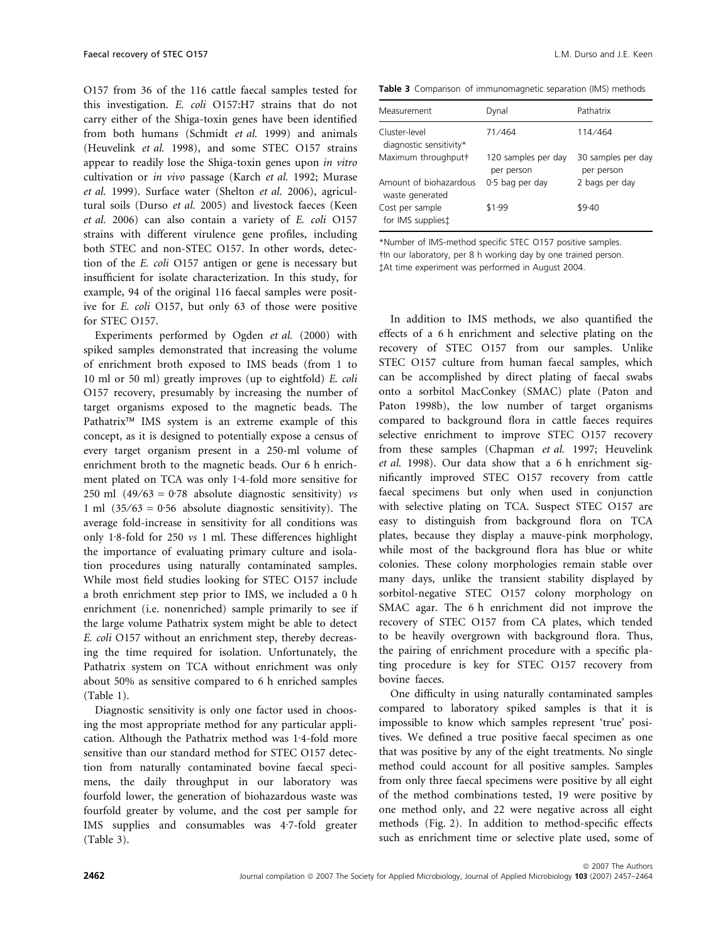O157 from 36 of the 116 cattle faecal samples tested for this investigation. E. coli O157:H7 strains that do not carry either of the Shiga-toxin genes have been identified from both humans (Schmidt et al. 1999) and animals (Heuvelink et al. 1998), and some STEC O157 strains appear to readily lose the Shiga-toxin genes upon in vitro cultivation or in vivo passage (Karch et al. 1992; Murase et al. 1999). Surface water (Shelton et al. 2006), agricultural soils (Durso et al. 2005) and livestock faeces (Keen et al. 2006) can also contain a variety of E. coli O157 strains with different virulence gene profiles, including both STEC and non-STEC O157. In other words, detection of the E. coli O157 antigen or gene is necessary but insufficient for isolate characterization. In this study, for example, 94 of the original 116 faecal samples were positive for E. coli O157, but only 63 of those were positive for STEC O157.

Experiments performed by Ogden et al. (2000) with spiked samples demonstrated that increasing the volume of enrichment broth exposed to IMS beads (from 1 to 10 ml or 50 ml) greatly improves (up to eightfold) E. coli O157 recovery, presumably by increasing the number of target organisms exposed to the magnetic beads. The Pathatrix<sup>™</sup> IMS system is an extreme example of this concept, as it is designed to potentially expose a census of every target organism present in a 250-ml volume of enrichment broth to the magnetic beads. Our 6 h enrichment plated on TCA was only 1.4-fold more sensitive for 250 ml  $(49/63 = 0.78)$  absolute diagnostic sensitivity) vs 1 ml  $(35/63 = 0.56$  absolute diagnostic sensitivity). The average fold-increase in sensitivity for all conditions was only 1.8-fold for 250  $vs$  1 ml. These differences highlight the importance of evaluating primary culture and isolation procedures using naturally contaminated samples. While most field studies looking for STEC O157 include a broth enrichment step prior to IMS, we included a 0 h enrichment (i.e. nonenriched) sample primarily to see if the large volume Pathatrix system might be able to detect E. coli O157 without an enrichment step, thereby decreasing the time required for isolation. Unfortunately, the Pathatrix system on TCA without enrichment was only about 50% as sensitive compared to 6 h enriched samples (Table 1).

Diagnostic sensitivity is only one factor used in choosing the most appropriate method for any particular application. Although the Pathatrix method was 1.4-fold more sensitive than our standard method for STEC O157 detection from naturally contaminated bovine faecal specimens, the daily throughput in our laboratory was fourfold lower, the generation of biohazardous waste was fourfold greater by volume, and the cost per sample for IMS supplies and consumables was 4.7-fold greater (Table 3).

Table 3 Comparison of immunomagnetic separation (IMS) methods

| Measurement                               | Dynal                             | Pathatrix                        |
|-------------------------------------------|-----------------------------------|----------------------------------|
| Cluster-level<br>diagnostic sensitivity*  | 71/464                            | 114/464                          |
| Maximum throughput†                       | 120 samples per day<br>per person | 30 samples per day<br>per person |
| Amount of biohazardous<br>waste generated | 0.5 bag per day                   | 2 bags per day                   |
| Cost per sample<br>for IMS supplies:      | \$1.99                            | \$9.40                           |

\*Number of IMS-method specific STEC O157 positive samples. -In our laboratory, per 8 h working day by one trained person. At time experiment was performed in August 2004.

In addition to IMS methods, we also quantified the effects of a 6 h enrichment and selective plating on the recovery of STEC O157 from our samples. Unlike STEC O157 culture from human faecal samples, which can be accomplished by direct plating of faecal swabs onto a sorbitol MacConkey (SMAC) plate (Paton and Paton 1998b), the low number of target organisms compared to background flora in cattle faeces requires selective enrichment to improve STEC O157 recovery from these samples (Chapman et al. 1997; Heuvelink et al. 1998). Our data show that a 6 h enrichment significantly improved STEC O157 recovery from cattle faecal specimens but only when used in conjunction with selective plating on TCA. Suspect STEC O157 are easy to distinguish from background flora on TCA plates, because they display a mauve-pink morphology, while most of the background flora has blue or white colonies. These colony morphologies remain stable over many days, unlike the transient stability displayed by sorbitol-negative STEC O157 colony morphology on SMAC agar. The 6 h enrichment did not improve the recovery of STEC O157 from CA plates, which tended to be heavily overgrown with background flora. Thus, the pairing of enrichment procedure with a specific plating procedure is key for STEC O157 recovery from bovine faeces.

One difficulty in using naturally contaminated samples compared to laboratory spiked samples is that it is impossible to know which samples represent 'true' positives. We defined a true positive faecal specimen as one that was positive by any of the eight treatments. No single method could account for all positive samples. Samples from only three faecal specimens were positive by all eight of the method combinations tested, 19 were positive by one method only, and 22 were negative across all eight methods (Fig. 2). In addition to method-specific effects such as enrichment time or selective plate used, some of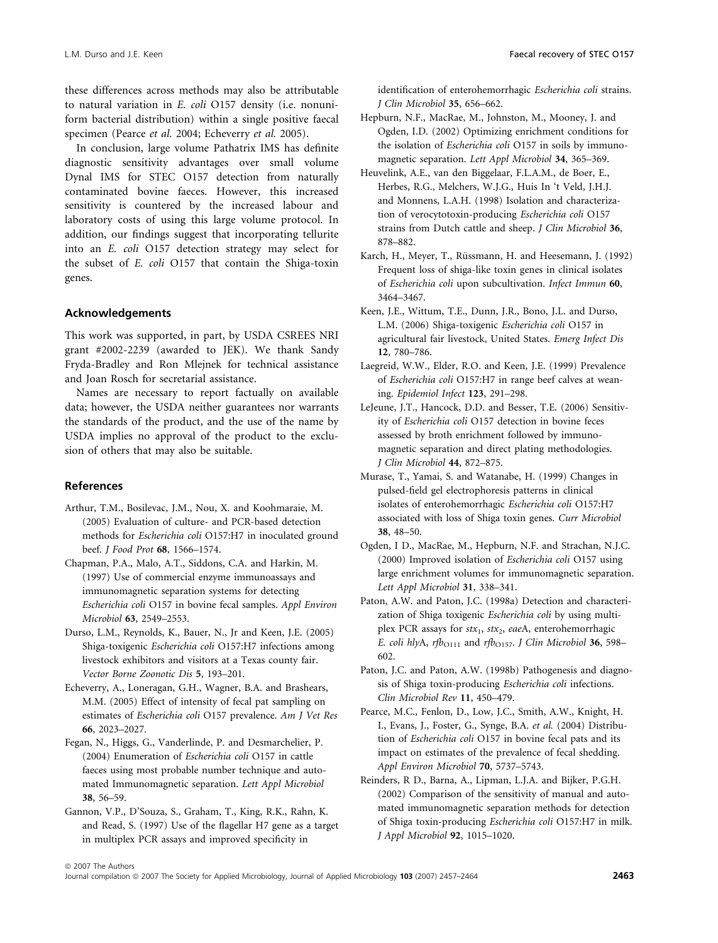these differences across methods may also be attributable to natural variation in E. coli O157 density (i.e. nonuniform bacterial distribution) within a single positive faecal specimen (Pearce et al. 2004; Echeverry et al. 2005).

In conclusion, large volume Pathatrix IMS has definite diagnostic sensitivity advantages over small volume Dynal IMS for STEC O157 detection from naturally contaminated bovine faeces. However, this increased sensitivity is countered by the increased labour and laboratory costs of using this large volume protocol. In addition, our findings suggest that incorporating tellurite into an E. coli O157 detection strategy may select for the subset of E. coli O157 that contain the Shiga-toxin genes.

#### Acknowledgements

This work was supported, in part, by USDA CSREES NRI grant #2002-2239 (awarded to JEK). We thank Sandy Fryda-Bradley and Ron Mlejnek for technical assistance and Joan Rosch for secretarial assistance.

Names are necessary to report factually on available data; however, the USDA neither guarantees nor warrants the standards of the product, and the use of the name by USDA implies no approval of the product to the exclusion of others that may also be suitable.

#### References

- Arthur, T.M., Bosilevac, J.M., Nou, X. and Koohmaraie, M. (2005) Evaluation of culture- and PCR-based detection methods for Escherichia coli O157:H7 in inoculated ground beef. J Food Prot 68, 1566–1574.
- Chapman, P.A., Malo, A.T., Siddons, C.A. and Harkin, M. (1997) Use of commercial enzyme immunoassays and immunomagnetic separation systems for detecting Escherichia coli O157 in bovine fecal samples. Appl Environ Microbiol 63, 2549–2553.
- Durso, L.M., Reynolds, K., Bauer, N., Jr and Keen, J.E. (2005) Shiga-toxigenic Escherichia coli O157:H7 infections among livestock exhibitors and visitors at a Texas county fair. Vector Borne Zoonotic Dis 5, 193–201.
- Echeverry, A., Loneragan, G.H., Wagner, B.A. and Brashears, M.M. (2005) Effect of intensity of fecal pat sampling on estimates of Escherichia coli O157 prevalence. Am J Vet Res 66, 2023–2027.
- Fegan, N., Higgs, G., Vanderlinde, P. and Desmarchelier, P. (2004) Enumeration of Escherichia coli O157 in cattle faeces using most probable number technique and automated Immunomagnetic separation. Lett Appl Microbiol 38, 56–59.
- Gannon, V.P., D'Souza, S., Graham, T., King, R.K., Rahn, K. and Read, S. (1997) Use of the flagellar H7 gene as a target in multiplex PCR assays and improved specificity in

identification of enterohemorrhagic Escherichia coli strains. J Clin Microbiol 35, 656–662.

- Hepburn, N.F., MacRae, M., Johnston, M., Mooney, J. and Ogden, I.D. (2002) Optimizing enrichment conditions for the isolation of Escherichia coli O157 in soils by immunomagnetic separation. Lett Appl Microbiol 34, 365–369.
- Heuvelink, A.E., van den Biggelaar, F.L.A.M., de Boer, E., Herbes, R.G., Melchers, W.J.G., Huis In 't Veld, J.H.J. and Monnens, L.A.H. (1998) Isolation and characterization of verocytotoxin-producing Escherichia coli O157 strains from Dutch cattle and sheep. J Clin Microbiol 36, 878–882.
- Karch, H., Meyer, T., Rüssmann, H. and Heesemann, J. (1992) Frequent loss of shiga-like toxin genes in clinical isolates of Escherichia coli upon subcultivation. Infect Immun 60, 3464–3467.
- Keen, J.E., Wittum, T.E., Dunn, J.R., Bono, J.L. and Durso, L.M. (2006) Shiga-toxigenic Escherichia coli O157 in agricultural fair livestock, United States. Emerg Infect Dis 12, 780–786.
- Laegreid, W.W., Elder, R.O. and Keen, J.E. (1999) Prevalence of Escherichia coli O157:H7 in range beef calves at weaning. Epidemiol Infect 123, 291–298.
- LeJeune, J.T., Hancock, D.D. and Besser, T.E. (2006) Sensitivity of Escherichia coli O157 detection in bovine feces assessed by broth enrichment followed by immunomagnetic separation and direct plating methodologies. J Clin Microbiol 44, 872–875.
- Murase, T., Yamai, S. and Watanabe, H. (1999) Changes in pulsed-field gel electrophoresis patterns in clinical isolates of enterohemorrhagic Escherichia coli O157:H7 associated with loss of Shiga toxin genes. Curr Microbiol 38, 48–50.
- Ogden, I D., MacRae, M., Hepburn, N.F. and Strachan, N.J.C. (2000) Improved isolation of Escherichia coli O157 using large enrichment volumes for immunomagnetic separation. Lett Appl Microbiol 31, 338–341.
- Paton, A.W. and Paton, J.C. (1998a) Detection and characterization of Shiga toxigenic Escherichia coli by using multiplex PCR assays for  $stx_1$ ,  $stx_2$ , eaeA, enterohemorrhagic E. coli hlyA, rfb $_{O111}$  and rfb $_{O157}$ . J Clin Microbiol 36, 598– 602.
- Paton, J.C. and Paton, A.W. (1998b) Pathogenesis and diagnosis of Shiga toxin-producing Escherichia coli infections. Clin Microbiol Rev 11, 450–479.
- Pearce, M.C., Fenlon, D., Low, J.C., Smith, A.W., Knight, H. I., Evans, J., Foster, G., Synge, B.A. et al. (2004) Distribution of Escherichia coli O157 in bovine fecal pats and its impact on estimates of the prevalence of fecal shedding. Appl Environ Microbiol 70, 5737–5743.
- Reinders, R D., Barna, A., Lipman, L.J.A. and Bijker, P.G.H. (2002) Comparison of the sensitivity of manual and automated immunomagnetic separation methods for detection of Shiga toxin-producing Escherichia coli O157:H7 in milk. J Appl Microbiol 92, 1015–1020.

Journal compilation @ 2007 The Society for Applied Microbiology, Journal of Applied Microbiology 103 (2007) 2457-2464 2463